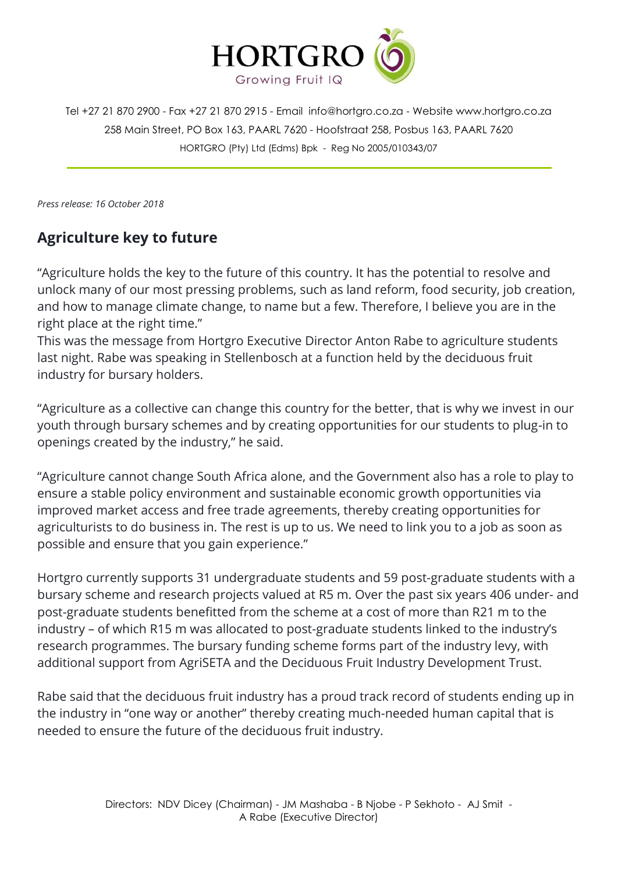

Tel +27 21 870 2900 - Fax +27 21 870 2915 - Email [info@hortgro.co.za](mailto:info@hortgro.co.za) - Website www.hortgro.co.za 258 Main Street, PO Box 163, PAARL 7620 - Hoofstraat 258, Posbus 163, PAARL 7620 HORTGRO (Pty) Ltd (Edms) Bpk - Reg No 2005/010343/07

*Press release: 16 October 2018*

## **Agriculture key to future**

"Agriculture holds the key to the future of this country. It has the potential to resolve and unlock many of our most pressing problems, such as land reform, food security, job creation, and how to manage climate change, to name but a few. Therefore, I believe you are in the right place at the right time."

This was the message from Hortgro Executive Director Anton Rabe to agriculture students last night. Rabe was speaking in Stellenbosch at a function held by the deciduous fruit industry for bursary holders.

"Agriculture as a collective can change this country for the better, that is why we invest in our youth through bursary schemes and by creating opportunities for our students to plug-in to openings created by the industry," he said.

"Agriculture cannot change South Africa alone, and the Government also has a role to play to ensure a stable policy environment and sustainable economic growth opportunities via improved market access and free trade agreements, thereby creating opportunities for agriculturists to do business in. The rest is up to us. We need to link you to a job as soon as possible and ensure that you gain experience."

Hortgro currently supports 31 undergraduate students and 59 post-graduate students with a bursary scheme and research projects valued at R5 m. Over the past six years 406 under- and post-graduate students benefitted from the scheme at a cost of more than R21 m to the industry – of which R15 m was allocated to post-graduate students linked to the industry's research programmes. The bursary funding scheme forms part of the industry levy, with additional support from AgriSETA and the Deciduous Fruit Industry Development Trust.

Rabe said that the deciduous fruit industry has a proud track record of students ending up in the industry in "one way or another" thereby creating much-needed human capital that is needed to ensure the future of the deciduous fruit industry.